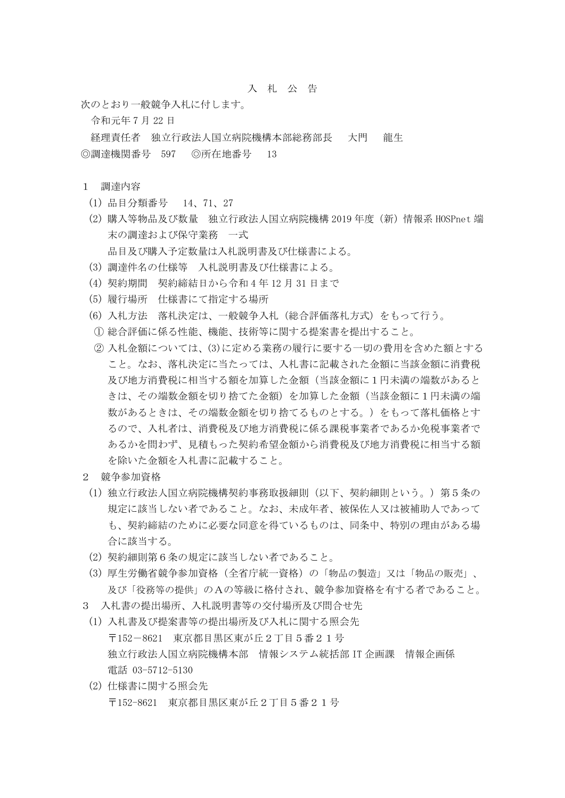## 入 札 公 告

次のとおり一般競争入札に付します。

令和元年 7 月 22 日

経理責任者 独立行政法人国立病院機構本部総務部長 大門 龍生 ◎調達機関番号 597 ◎所在地番号 13

## 1 調達内容

- (1) 品目分類番号 14、71、27
- (2) 購入等物品及び数量 独立行政法人国立病院機構 2019 年度(新)情報系 HOSPnet 端 末の調達および保守業務 一式 品目及び購入予定数量は入札説明書及び仕様書による。
- (3) 調達件名の仕様等 入札説明書及び仕様書による。
- (4) 契約期間 契約締結日から令和 4 年 12 月 31 日まで
- (5) 履行場所 仕様書にて指定する場所
- (6) 入札方法 落札決定は、一般競争入札(総合評価落札方式)をもって行う。
- ① 総合評価に係る性能、機能、技術等に関する提案書を提出すること。
- ② 入札金額については、(3)に定める業務の履行に要する一切の費用を含めた額とする こと。なお、落札決定に当たっては、入札書に記載された金額に当該金額に消費税 及び地方消費税に相当する額を加算した金額(当該金額に1円未満の端数があると きは、その端数金額を切り捨てた金額)を加算した金額(当該金額に1円未満の端 数があるときは、その端数金額を切り捨てるものとする。)をもって落札価格とす るので、入札者は、消費税及び地方消費税に係る課税事業者であるか免税事業者で あるかを問わず、見積もった契約希望金額から消費税及び地方消費税に相当する額 を除いた金額を入札書に記載すること。
- 2 競争参加資格
- (1) 独立行政法人国立病院機構契約事務取扱細則(以下、契約細則という。)第5条の 規定に該当しない者であること。なお、未成年者、被保佐人又は被補助人であって も、契約締結のために必要な同意を得ているものは、同条中、特別の理由がある場 合に該当する。
- (2) 契約細則第6条の規定に該当しない者であること。
- (3) 厚生労働省競争参加資格(全省庁統一資格)の「物品の製造」又は「物品の販売」、 及び「役務等の提供」のAの等級に格付され、競争参加資格を有する者であること。
- 3 入札書の提出場所、入札説明書等の交付場所及び問合せ先
- (1) 入札書及び提案書等の提出場所及び入札に関する照会先 〒152-8621 東京都目黒区東が丘2丁目5番21号 独立行政法人国立病院機構本部 情報システム統括部 IT 企画課 情報企画係 電話 03-5712-5130
- (2) 仕様書に関する照会先 〒152-8621 東京都目黒区東が丘2丁目5番21号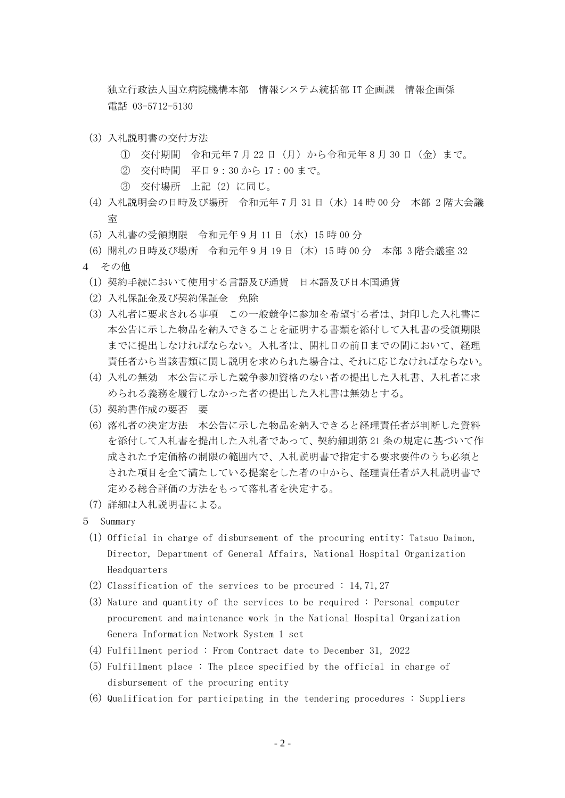独立行政法人国立病院機構本部 情報システム統括部 IT 企画課 情報企画係 電話 03-5712-5130

- (3) 入札説明書の交付方法
	- ① 交付期間 令和元年 7 月 22 日(月)から令和元年 8 月 30 日(金)まで。
	- ② 交付時間 平日 9:30 から 17:00 まで。
	- ③ 交付場所 上記(2)に同じ。
- (4) 入札説明会の日時及び場所 令和元年 7 月 31 日(水)14 時 00 分 本部 2 階大会議 室
- (5) 入札書の受領期限 令和元年 9 月 11 日(水)15 時 00 分
- (6) 開札の日時及び場所 令和元年 9 月 19 日(木)15 時 00 分 本部 3 階会議室 32 4 その他
	- (1) 契約手続において使用する言語及び通貨 日本語及び日本国通貨
	- (2) 入札保証金及び契約保証金 免除
	- (3) 入札者に要求される事項 この一般競争に参加を希望する者は、封印した入札書に 本公告に示した物品を納入できることを証明する書類を添付して入札書の受領期限 までに提出しなければならない。入札者は、開札日の前日までの間において、経理 責任者から当該書類に関し説明を求められた場合は、それに応じなければならない。
	- (4) 入札の無効 本公告に示した競争参加資格のない者の提出した入札書、入札者に求 められる義務を履行しなかった者の提出した入札書は無効とする。
	- (5) 契約書作成の要否 要
	- (6) 落札者の決定方法 本公告に示した物品を納入できると経理責任者が判断した資料 を添付して入札書を提出した入札者であって、契約細則第 21 条の規定に基づいて作 成された予定価格の制限の範囲内で、入札説明書で指定する要求要件のうち必須と された項目を全て満たしている提案をした者の中から、経理責任者が入札説明書で 定める総合評価の方法をもって落札者を決定する。
- (7) 詳細は入札説明書による。
- 5 Summary
	- (1) Official in charge of disbursement of the procuring entity: Tatsuo Daimon, Director, Department of General Affairs, National Hospital Organization Headquarters
	- (2) Classification of the services to be procured : 14,71,27
	- (3) Nature and quantity of the services to be required : Personal computer procurement and maintenance work in the National Hospital Organization Genera Information Network System 1 set
	- (4) Fulfillment period : From Contract date to December 31, 2022
	- (5) Fulfillment place : The place specified by the official in charge of disbursement of the procuring entity
	- (6) Qualification for participating in the tendering procedures : Suppliers